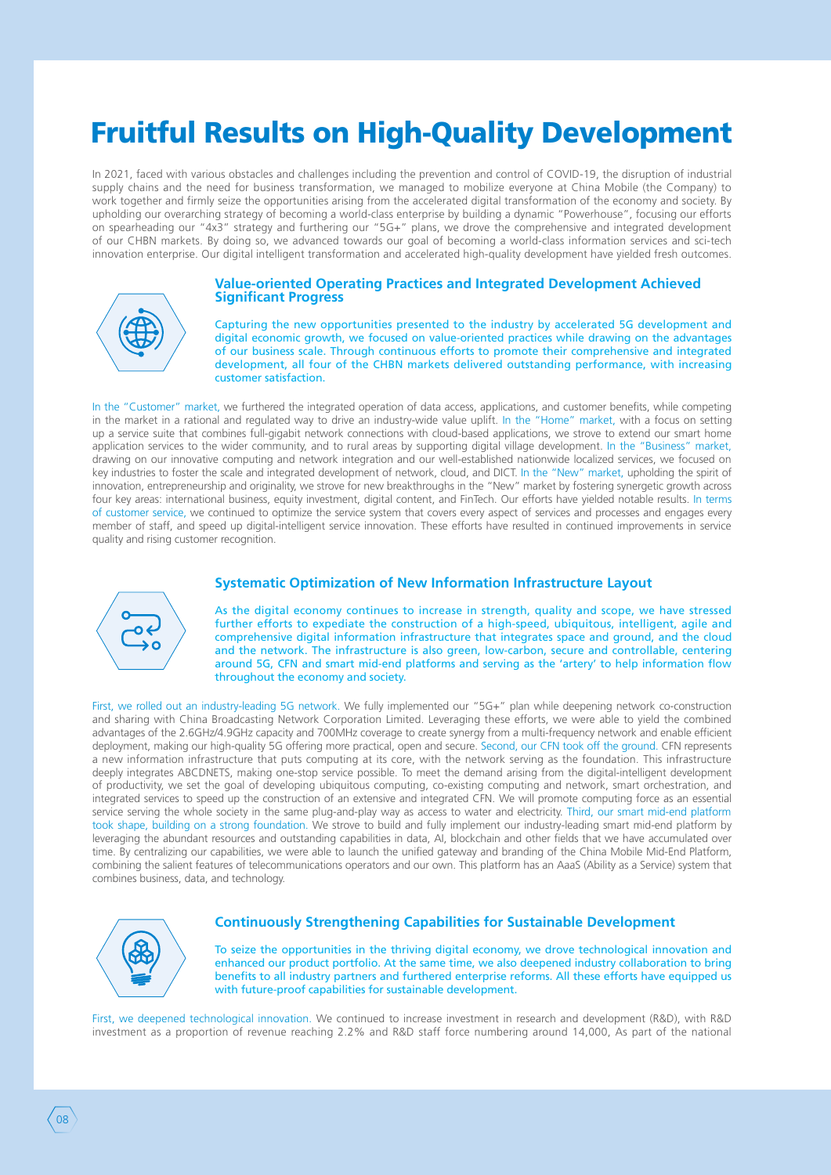# Fruitful Results on High-Quality Development

In 2021, faced with various obstacles and challenges including the prevention and control of COVID-19, the disruption of industrial supply chains and the need for business transformation, we managed to mobilize everyone at China Mobile (the Company) to work together and firmly seize the opportunities arising from the accelerated digital transformation of the economy and society. By upholding our overarching strategy of becoming a world-class enterprise by building a dynamic "Powerhouse", focusing our efforts on spearheading our "4x3" strategy and furthering our "5G+" plans, we drove the comprehensive and integrated development of our CHBN markets. By doing so, we advanced towards our goal of becoming a world-class information services and sci-tech innovation enterprise. Our digital intelligent transformation and accelerated high-quality development have vielded fresh outcomes.



#### **Value-oriented Operating Practices and Integrated Development Achieved Significant Progress**

Capturing the new opportunities presented to the industry by accelerated 5G development and digital economic growth, we focused on value-oriented practices while drawing on the advantages of our business scale. Through continuous efforts to promote their comprehensive and integrated development, all four of the CHBN markets delivered outstanding performance, with increasing customer satisfaction.

In the "Customer" market, we furthered the integrated operation of data access, applications, and customer benefits, while competing in the market in a rational and regulated way to drive an industry-wide value uplift. In the "Home" market, with a focus on setting up a service suite that combines full-gigabit network connections with cloud-based applications, we strove to extend our smart home application services to the wider community, and to rural areas by supporting digital village development. In the "Business" market, drawing on our innovative computing and network integration and our well-established nationwide localized services, we focused on key industries to foster the scale and integrated development of network, cloud, and DICT. In the "New" market, upholding the spirit of innovation, entrepreneurship and originality, we strove for new breakthroughs in the "New" market by fostering synergetic growth across four key areas: international business, equity investment, digital content, and FinTech. Our efforts have yielded notable results. In terms of customer service, we continued to optimize the service system that covers every aspect of services and processes and engages every member of staff, and speed up digital-intelligent service innovation. These efforts have resulted in continued improvements in service quality and rising customer recognition.

## **Systematic Optimization of New Information Infrastructure Layout**



As the digital economy continues to increase in strength, quality and scope, we have stressed further efforts to expediate the construction of a high-speed, ubiquitous, intelligent, agile and comprehensive digital information infrastructure that integrates space and ground, and the cloud and the network. The infrastructure is also green, low-carbon, secure and controllable, centering around 5G, CFN and smart mid-end platforms and serving as the 'artery' to help information flow throughout the economy and society.

First, we rolled out an industry-leading 5G network. We fully implemented our "5G+" plan while deepening network co-construction and sharing with China Broadcasting Network Corporation Limited. Leveraging these efforts, we were able to yield the combined advantages of the 2.6GHz/4.9GHz capacity and 700MHz coverage to create synergy from a multi-frequency network and enable efficient deployment, making our high-quality 5G offering more practical, open and secure. Second, our CFN took off the ground. CFN represents a new information infrastructure that puts computing at its core, with the network serving as the foundation. This infrastructure deeply integrates ABCDNETS, making one-stop service possible. To meet the demand arising from the digital-intelligent development of productivity, we set the goal of developing ubiquitous computing, co-existing computing and network, smart orchestration, and integrated services to speed up the construction of an extensive and integrated CFN. We will promote computing force as an essential service serving the whole society in the same plug-and-play way as access to water and electricity. Third, our smart mid-end platform took shape, building on a strong foundation. We strove to build and fully implement our industry-leading smart mid-end platform by leveraging the abundant resources and outstanding capabilities in data, AI, blockchain and other fields that we have accumulated over time. By centralizing our capabilities, we were able to launch the unified gateway and branding of the China Mobile Mid-End Platform, combining the salient features of telecommunications operators and our own. This platform has an AaaS (Ability as a Service) system that combines business, data, and technology.



### **Continuously Strengthening Capabilities for Sustainable Development**

To seize the opportunities in the thriving digital economy, we drove technological innovation and enhanced our product portfolio. At the same time, we also deepened industry collaboration to bring benefits to all industry partners and furthered enterprise reforms. All these efforts have equipped us with future-proof capabilities for sustainable development.

First, we deepened technological innovation. We continued to increase investment in research and development (R&D), with R&D investment as a proportion of revenue reaching 2.2% and R&D staff force numbering around 14,000, As part of the national